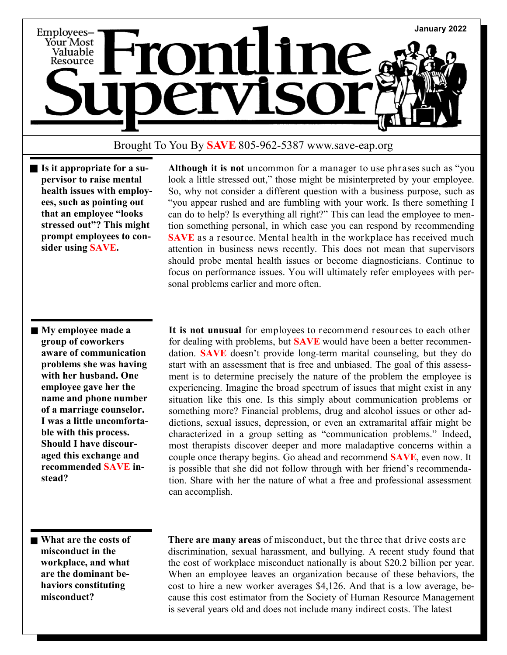

## Brought To You By **SAVE** 805-962-5387 www.save-eap.org

**Is it appropriate for a supervisor to raise mental health issues with employees, such as pointing out that an employee "looks stressed out"? This might prompt employees to consider using SAVE.**

 **Although it is not** uncommon for a manager to use phrases such as "you look a little stressed out," those might be misinterpreted by your employee. So, why not consider a different question with a business purpose, such as "you appear rushed and are fumbling with your work. Is there something I can do to help? Is everything all right?" This can lead the employee to mention something personal, in which case you can respond by recommending **SAVE** as a resource. Mental health in the workplace has received much attention in business news recently. This does not mean that supervisors should probe mental health issues or become diagnosticians. Continue to focus on performance issues. You will ultimately refer employees with personal problems earlier and more often.

**My employee made a group of coworkers aware of communication problems she was having with her husband. One employee gave her the name and phone number of a marriage counselor. I was a little uncomfortable with this process. Should I have discouraged this exchange and recommended SAVE instead?**

 **It is not unusual** for employees to recommend resources to each other for dealing with problems, but **SAVE** would have been a better recommendation. **SAVE** doesn't provide long-term marital counseling, but they do start with an assessment that is free and unbiased. The goal of this assessment is to determine precisely the nature of the problem the employee is experiencing. Imagine the broad spectrum of issues that might exist in any situation like this one. Is this simply about communication problems or something more? Financial problems, drug and alcohol issues or other addictions, sexual issues, depression, or even an extramarital affair might be characterized in a group setting as "communication problems." Indeed, most therapists discover deeper and more maladaptive concerns within a couple once therapy begins. Go ahead and recommend **SAVE**, even now. It is possible that she did not follow through with her friend's recommendation. Share with her the nature of what a free and professional assessment can accomplish.

**What are the costs of misconduct in the workplace, and what are the dominant behaviors constituting misconduct?**

 **There are many areas** of misconduct, but the three that drive costs are discrimination, sexual harassment, and bullying. A recent study found that the cost of workplace misconduct nationally is about \$20.2 billion per year. When an employee leaves an organization because of these behaviors, the cost to hire a new worker averages \$4,126. And that is a low average, because this cost estimator from the Society of Human Resource Management is several years old and does not include many indirect costs. The latest